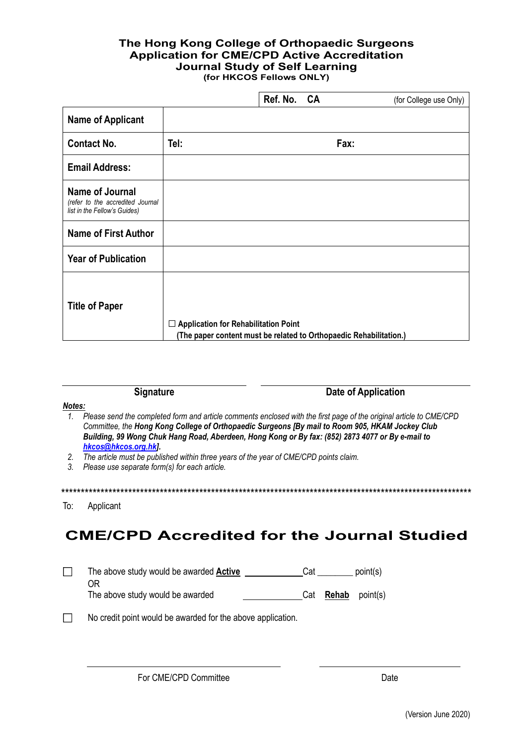## The Hong Kong College of Orthopaedic Surgeons **Application for CME/CPD Active Accreditation Journal Study of Self Learning** (for HKCOS Fellows ONLY)

|      |                                             | (for College use Only)                                                            |
|------|---------------------------------------------|-----------------------------------------------------------------------------------|
|      |                                             |                                                                                   |
| Tel: |                                             | Fax:                                                                              |
|      |                                             |                                                                                   |
|      |                                             |                                                                                   |
|      |                                             |                                                                                   |
|      |                                             |                                                                                   |
|      |                                             |                                                                                   |
|      | $\Box$ Application for Rehabilitation Point | Ref. No. CA<br>(The paper content must be related to Orthopaedic Rehabilitation.) |

## **Signature**

**Date of Application** 

## Notes:

- 1. Please send the completed form and article comments enclosed with the first page of the original article to CME/CPD Committee, the Hong Kong College of Orthopaedic Surgeons [By mail to Room 905, HKAM Jockey Club Building, 99 Wong Chuk Hang Road, Aberdeen, Hong Kong or By fax: (852) 2873 4077 or By e-mail to hkcos@hkcos.org.hkl.
- The article must be published within three years of the year of CME/CPD points claim.  $2.$
- 3. Please use separate form(s) for each article.

#### To: Applicant

# **CME/CPD Accredited for the Journal Studied**

| The above study would be awarded <b>Active</b> | Cat | point(s) |
|------------------------------------------------|-----|----------|
| ΟR                                             |     |          |

The above study would be awarded Cat **Rehab** point(s)

No credit point would be awarded for the above application.  $\Box$ 

For CME/CPD Committee